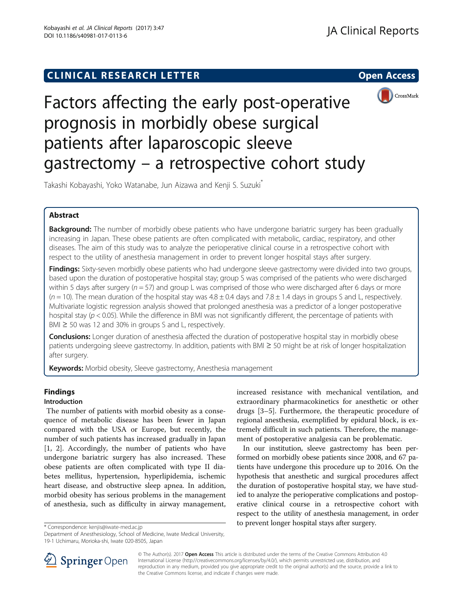## **CLINICAL RESEARCH LETTER CLINICAL RESEARCH LETTER Open Access**



# Factors affecting the early post-operative prognosis in morbidly obese surgical patients after laparoscopic sleeve gastrectomy – a retrospective cohort study

Takashi Kobayashi, Yoko Watanabe, Jun Aizawa and Kenji S. Suzuki\*

## Abstract

**Background:** The number of morbidly obese patients who have undergone bariatric surgery has been gradually increasing in Japan. These obese patients are often complicated with metabolic, cardiac, respiratory, and other diseases. The aim of this study was to analyze the perioperative clinical course in a retrospective cohort with respect to the utility of anesthesia management in order to prevent longer hospital stays after surgery.

Findings: Sixty-seven morbidly obese patients who had undergone sleeve gastrectomy were divided into two groups, based upon the duration of postoperative hospital stay; group S was comprised of the patients who were discharged within 5 days after surgery ( $n = 57$ ) and group L was comprised of those who were discharged after 6 days or more  $(n = 10)$ . The mean duration of the hospital stay was  $4.8 \pm 0.4$  days and  $7.8 \pm 1.4$  days in groups S and L, respectively. Multivariate logistic regression analysis showed that prolonged anesthesia was a predictor of a longer postoperative hospital stay ( $p < 0.05$ ). While the difference in BMI was not significantly different, the percentage of patients with BMI  $\geq$  50 was 12 and 30% in groups S and L, respectively.

**Conclusions:** Longer duration of anesthesia affected the duration of postoperative hospital stay in morbidly obese patients undergoing sleeve gastrectomy. In addition, patients with BMI ≥ 50 might be at risk of longer hospitalization after surgery.

Keywords: Morbid obesity, Sleeve gastrectomy, Anesthesia management

## Findings

## Introduction

The number of patients with morbid obesity as a consequence of metabolic disease has been fewer in Japan compared with the USA or Europe, but recently, the number of such patients has increased gradually in Japan [[1, 2\]](#page-3-0). Accordingly, the number of patients who have undergone bariatric surgery has also increased. These obese patients are often complicated with type II diabetes mellitus, hypertension, hyperlipidemia, ischemic heart disease, and obstructive sleep apnea. In addition, morbid obesity has serious problems in the management of anesthesia, such as difficulty in airway management,

increased resistance with mechanical ventilation, and extraordinary pharmacokinetics for anesthetic or other drugs [[3](#page-3-0)–[5](#page-3-0)]. Furthermore, the therapeutic procedure of regional anesthesia, exemplified by epidural block, is extremely difficult in such patients. Therefore, the management of postoperative analgesia can be problematic.

In our institution, sleeve gastrectomy has been performed on morbidly obese patients since 2008, and 67 patients have undergone this procedure up to 2016. On the hypothesis that anesthetic and surgical procedures affect the duration of postoperative hospital stay, we have studied to analyze the perioperative complications and postoperative clinical course in a retrospective cohort with respect to the utility of anesthesia management, in order to prevent longer hospital stays after surgery. \* Correspondence: [kenjis@iwate-med.ac.jp](mailto:kenjis@iwate-med.ac.jp)



© The Author(s). 2017 Open Access This article is distributed under the terms of the Creative Commons Attribution 4.0 International License ([http://creativecommons.org/licenses/by/4.0/\)](http://creativecommons.org/licenses/by/4.0/), which permits unrestricted use, distribution, and reproduction in any medium, provided you give appropriate credit to the original author(s) and the source, provide a link to the Creative Commons license, and indicate if changes were made.

Department of Anesthesiology, School of Medicine, Iwate Medical University, 19-1 Uchimaru, Morioka-shi, Iwate 020-8505, Japan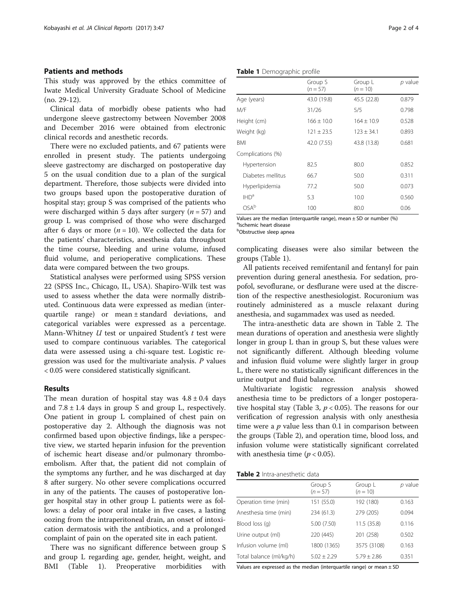#### Patients and methods

This study was approved by the ethics committee of Iwate Medical University Graduate School of Medicine (no. 29-12).

Clinical data of morbidly obese patients who had undergone sleeve gastrectomy between November 2008 and December 2016 were obtained from electronic clinical records and anesthetic records.

There were no excluded patients, and 67 patients were enrolled in present study. The patients undergoing sleeve gastrectomy are discharged on postoperative day 5 on the usual condition due to a plan of the surgical department. Therefore, those subjects were divided into two groups based upon the postoperative duration of hospital stay; group S was comprised of the patients who were discharged within 5 days after surgery ( $n = 57$ ) and group L was comprised of those who were discharged after 6 days or more  $(n = 10)$ . We collected the data for the patients' characteristics, anesthesia data throughout the time course, bleeding and urine volume, infused fluid volume, and perioperative complications. These data were compared between the two groups.

Statistical analyses were performed using SPSS version 22 (SPSS Inc., Chicago, IL, USA). Shapiro-Wilk test was used to assess whether the data were normally distributed. Continuous data were expressed as median (interquartile range) or mean ± standard deviations, and categorical variables were expressed as a percentage. Mann-Whitney  $U$  test or unpaired Student's  $t$  test were used to compare continuous variables. The categorical data were assessed using a chi-square test. Logistic regression was used for the multivariate analysis.  $P$  values < 0.05 were considered statistically significant.

#### Results

The mean duration of hospital stay was  $4.8 \pm 0.4$  days and  $7.8 \pm 1.4$  days in group S and group L, respectively. One patient in group L complained of chest pain on postoperative day 2. Although the diagnosis was not confirmed based upon objective findings, like a perspective view, we started heparin infusion for the prevention of ischemic heart disease and/or pulmonary thromboembolism. After that, the patient did not complain of the symptoms any further, and he was discharged at day 8 after surgery. No other severe complications occurred in any of the patients. The causes of postoperative longer hospital stay in other group L patients were as follows: a delay of poor oral intake in five cases, a lasting oozing from the intraperitoneal drain, an onset of intoxication dermatosis with the antibiotics, and a prolonged complaint of pain on the operated site in each patient.

There was no significant difference between group S and group L regarding age, gender, height, weight, and BMI (Table 1). Preoperative morbidities with

Table 1 Demographic profile

|                   | Group S<br>$(n = 57)$ | Group L<br>$(n = 10)$ | p value |
|-------------------|-----------------------|-----------------------|---------|
| Age (years)       | 43.0 (19.8)           | 45.5 (22.8)           | 0.879   |
| M/F               | 31/26                 | 5/5                   | 0.798   |
| Height (cm)       | $166 + 10.0$          | $164 + 10.9$          | 0.528   |
| Weight (kg)       | $121 + 23.5$          | $123 + 34.1$          | 0.893   |
| BMI               | 42.0 (7.55)           | 43.8 (13.8)           | 0.681   |
| Complications (%) |                       |                       |         |
| Hypertension      | 82.5                  | 80.0                  | 0.852   |
| Diabetes mellitus | 66.7                  | 50.0                  | 0.311   |
| Hyperlipidemia    | 77.2                  | 50.0                  | 0.073   |
| IHD <sup>a</sup>  | 5.3                   | 10.0                  | 0.560   |
| OSA <sup>b</sup>  | 100                   | 80.0                  | 0.06    |

Values are the median (interquartile range), mean  $\pm$  SD or number (%) alschemic heart disease

**b**Obstructive sleep apnea

complicating diseases were also similar between the groups (Table 1).

All patients received remifentanil and fentanyl for pain prevention during general anesthesia. For sedation, propofol, sevoflurane, or desflurane were used at the discretion of the respective anesthesiologist. Rocuronium was routinely administered as a muscle relaxant during anesthesia, and sugammadex was used as needed.

The intra-anesthetic data are shown in Table 2. The mean durations of operation and anesthesia were slightly longer in group L than in group S, but these values were not significantly different. Although bleeding volume and infusion fluid volume were slightly larger in group L, there were no statistically significant differences in the urine output and fluid balance.

Multivariate logistic regression analysis showed anesthesia time to be predictors of a longer postopera-tive hospital stay (Table [3,](#page-2-0)  $p < 0.05$ ). The reasons for our verification of regression analysis with only anesthesia time were a  $p$  value less than 0.1 in comparison between the groups (Table 2), and operation time, blood loss, and infusion volume were statistically significant correlated with anesthesia time ( $p < 0.05$ ).

Table 2 Intra-anesthetic data

|                         | Group S<br>$(n=57)$ | Group L<br>$(n = 10)$ | p value |
|-------------------------|---------------------|-----------------------|---------|
| Operation time (min)    | 151 (55.0)          | 192 (180)             | 0.163   |
| Anesthesia time (min)   | 234 (61.3)          | 279 (205)             | 0.094   |
| Blood loss (g)          | 5.00 (7.50)         | 11.5(35.8)            | 0.116   |
| Urine output (ml)       | 220 (445)           | 201 (258)             | 0.502   |
| Infusion volume (ml)    | 1800 (1365)         | 3575 (3108)           | 0.163   |
| Total balance (ml/kg/h) | $5.02 \pm 2.29$     | $5.79 \pm 2.86$       | 0.351   |

Values are expressed as the median (interquartile range) or mean  $\pm$  SD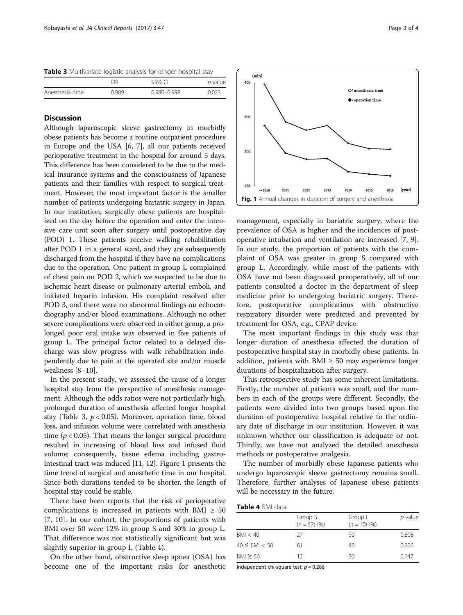<span id="page-2-0"></span>Table 3 Multivariate logistic analysis for longer hospital stay

|                 | ΛR    | 95% CI      | p value |
|-----------------|-------|-------------|---------|
| Anesthesia time | 0.989 | 0.980-0.998 | 0.023   |

## **Discussion**

Although laparoscopic sleeve gastrectomy in morbidly obese patients has become a routine outpatient procedure in Europe and the USA [\[6](#page-3-0), [7](#page-3-0)], all our patients received perioperative treatment in the hospital for around 5 days. This difference has been considered to be due to the medical insurance systems and the consciousness of Japanese patients and their families with respect to surgical treatment. However, the most important factor is the smaller number of patients undergoing bariatric surgery in Japan. In our institution, surgically obese patients are hospitalized on the day before the operation and enter the intensive care unit soon after surgery until postoperative day (POD) 1. These patients receive walking rehabilitation after POD 1 in a general ward, and they are subsequently discharged from the hospital if they have no complications due to the operation. One patient in group L complained of chest pain on POD 2, which we suspected to be due to ischemic heart disease or pulmonary arterial emboli, and initiated heparin infusion. His complaint resolved after POD 3, and there were no abnormal findings on echocardiography and/or blood examinations. Although no other severe complications were observed in either group, a prolonged poor oral intake was observed in five patients of group L. The principal factor related to a delayed discharge was slow progress with walk rehabilitation independently due to pain at the operated site and/or muscle weakness [[8](#page-3-0)–[10\]](#page-3-0).

In the present study, we assessed the cause of a longer hospital stay from the perspective of anesthesia management. Although the odds ratios were not particularly high, prolonged duration of anesthesia affected longer hospital stay (Table 3,  $p < 0.05$ ). Moreover, operation time, blood loss, and infusion volume were correlated with anesthesia time ( $p < 0.05$ ). That means the longer surgical procedure resulted in increasing of blood loss and infused fluid volume; consequently, tissue edema including gastrointestinal tract was induced [\[11, 12\]](#page-3-0). Figure 1 presents the time trend of surgical and anesthetic time in our hospital. Since both durations tended to be shorter, the length of hospital stay could be stable.

There have been reports that the risk of perioperative complications is increased in patients with BMI  $\geq 50$ [[7, 10\]](#page-3-0). In our cohort, the proportions of patients with BMI over 50 were 12% in group S and 30% in group L. That difference was not statistically significant but was slightly superior in group L (Table 4).

On the other hand, obstructive sleep apnea (OSA) has become one of the important risks for anesthetic



management, especially in bariatric surgery, where the prevalence of OSA is higher and the incidences of postoperative intubation and ventilation are increased [[7, 9](#page-3-0)]. In our study, the proportion of patients with the complaint of OSA was greater in group S compared with group L. Accordingly, while most of the patients with OSA have not been diagnosed preoperatively, all of our patients consulted a doctor in the department of sleep medicine prior to undergoing bariatric surgery. Therefore, postoperative complications with obstructive respiratory disorder were predicted and prevented by treatment for OSA, e.g., CPAP device.

The most important findings in this study was that longer duration of anesthesia affected the duration of postoperative hospital stay in morbidly obese patients. In addition, patients with BMI  $\geq$  50 may experience longer durations of hospitalization after surgery.

This retrospective study has some inherent limitations. Firstly, the number of patients was small, and the numbers in each of the groups were different. Secondly, the patients were divided into two groups based upon the duration of postoperative hospital relative to the ordinary date of discharge in our institution. However, it was unknown whether our classification is adequate or not. Thirdly, we have not analyzed the detailed anesthesia methods or postoperative analgesia.

The number of morbidly obese Japanese patients who undergo laparoscopic sleeve gastrectomy remains small. Therefore, further analyses of Japanese obese patients will be necessary in the future.

| Table 4 BMI data |
|------------------|
|                  |

|                      | Group S<br>$(n = 57)$ (%) | Group L<br>$(n = 10)$ (%) | p value |
|----------------------|---------------------------|---------------------------|---------|
| BMI < 40             | 27                        | 30                        | 0.808   |
| $40 \leq$ BMI $< 50$ | 61                        | 40                        | 0.206   |
| $BM \geq 50$         | 12                        | 30                        | 0.147   |

Independent chi-square test:  $p = 0.286$